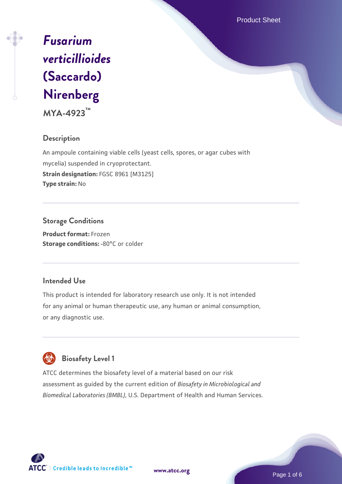Product Sheet

# *[Fusarium](https://www.atcc.org/products/mya-4923) [verticillioides](https://www.atcc.org/products/mya-4923)* **[\(Saccardo\)](https://www.atcc.org/products/mya-4923) [Nirenberg](https://www.atcc.org/products/mya-4923)**

**MYA-4923™**

## **Description**

An ampoule containing viable cells (yeast cells, spores, or agar cubes with mycelia) suspended in cryoprotectant. **Strain designation:** FGSC 8961 [M3125] **Type strain:** No

## **Storage Conditions Product format:** Frozen

**Storage conditions: -80°C or colder** 

## **Intended Use**

This product is intended for laboratory research use only. It is not intended for any animal or human therapeutic use, any human or animal consumption, or any diagnostic use.

# **Biosafety Level 1**

ATCC determines the biosafety level of a material based on our risk assessment as guided by the current edition of *Biosafety in Microbiological and Biomedical Laboratories (BMBL)*, U.S. Department of Health and Human Services.

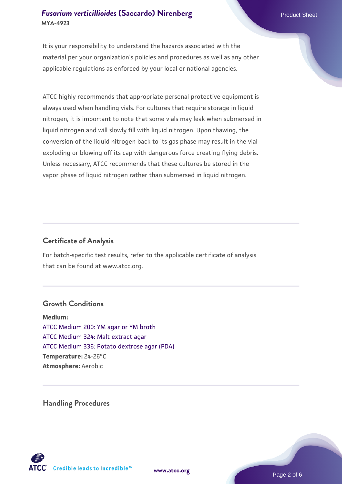It is your responsibility to understand the hazards associated with the material per your organization's policies and procedures as well as any other applicable regulations as enforced by your local or national agencies.

ATCC highly recommends that appropriate personal protective equipment is always used when handling vials. For cultures that require storage in liquid nitrogen, it is important to note that some vials may leak when submersed in liquid nitrogen and will slowly fill with liquid nitrogen. Upon thawing, the conversion of the liquid nitrogen back to its gas phase may result in the vial exploding or blowing off its cap with dangerous force creating flying debris. Unless necessary, ATCC recommends that these cultures be stored in the vapor phase of liquid nitrogen rather than submersed in liquid nitrogen.

## **Certificate of Analysis**

For batch-specific test results, refer to the applicable certificate of analysis that can be found at www.atcc.org.

### **Growth Conditions**

**Medium:**  [ATCC Medium 200: YM agar or YM broth](https://www.atcc.org/-/media/product-assets/documents/microbial-media-formulations/2/0/0/atcc-medium-200.pdf?rev=ac40fd74dc13433a809367b0b9da30fc) [ATCC Medium 324: Malt extract agar](https://www.atcc.org/-/media/product-assets/documents/microbial-media-formulations/3/2/4/atcc-medium-324.pdf?rev=5a8b3f6dcb23452d9462ec38b36f0bb6) [ATCC Medium 336: Potato dextrose agar \(PDA\)](https://www.atcc.org/-/media/product-assets/documents/microbial-media-formulations/3/3/6/atcc-medium-336.pdf?rev=d9160ad44d934cd8b65175461abbf3b9) **Temperature:** 24-26°C **Atmosphere:** Aerobic

**Handling Procedures**



**[www.atcc.org](http://www.atcc.org)**

Page 2 of 6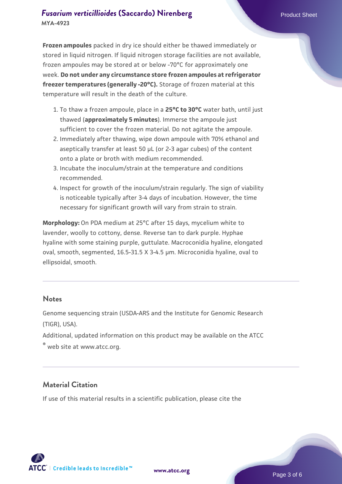**Frozen ampoules** packed in dry ice should either be thawed immediately or stored in liquid nitrogen. If liquid nitrogen storage facilities are not available, frozen ampoules may be stored at or below -70°C for approximately one week. **Do not under any circumstance store frozen ampoules at refrigerator freezer temperatures (generally -20°C).** Storage of frozen material at this temperature will result in the death of the culture.

- 1. To thaw a frozen ampoule, place in a **25°C to 30°C** water bath, until just thawed (**approximately 5 minutes**). Immerse the ampoule just sufficient to cover the frozen material. Do not agitate the ampoule.
- 2. Immediately after thawing, wipe down ampoule with 70% ethanol and aseptically transfer at least 50 µL (or 2-3 agar cubes) of the content onto a plate or broth with medium recommended.
- Incubate the inoculum/strain at the temperature and conditions 3. recommended.
- 4. Inspect for growth of the inoculum/strain regularly. The sign of viability is noticeable typically after 3-4 days of incubation. However, the time necessary for significant growth will vary from strain to strain.

**Morphology:** On PDA medium at 25°C after 15 days, mycelium white to lavender, woolly to cottony, dense. Reverse tan to dark purple. Hyphae hyaline with some staining purple, guttulate. Macroconidia hyaline, elongated oval, smooth, segmented, 16.5-31.5 X 3-4.5 µm. Microconidia hyaline, oval to ellipsoidal, smooth.

### **Notes**

Genome sequencing strain (USDA-ARS and the Institute for Genomic Research (TIGR), USA).

Additional, updated information on this product may be available on the ATCC

® web site at www.atcc.org.

## **Material Citation**

If use of this material results in a scientific publication, please cite the

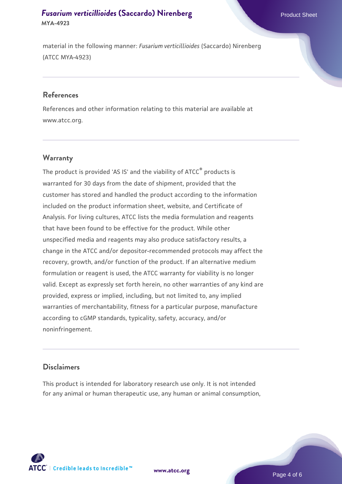material in the following manner: *Fusarium verticillioides* (Saccardo) Nirenberg (ATCC MYA-4923)

#### **References**

References and other information relating to this material are available at www.atcc.org.

## **Warranty**

The product is provided 'AS IS' and the viability of  $ATCC<sup>®</sup>$  products is warranted for 30 days from the date of shipment, provided that the customer has stored and handled the product according to the information included on the product information sheet, website, and Certificate of Analysis. For living cultures, ATCC lists the media formulation and reagents that have been found to be effective for the product. While other unspecified media and reagents may also produce satisfactory results, a change in the ATCC and/or depositor-recommended protocols may affect the recovery, growth, and/or function of the product. If an alternative medium formulation or reagent is used, the ATCC warranty for viability is no longer valid. Except as expressly set forth herein, no other warranties of any kind are provided, express or implied, including, but not limited to, any implied warranties of merchantability, fitness for a particular purpose, manufacture according to cGMP standards, typicality, safety, accuracy, and/or noninfringement.

#### **Disclaimers**

This product is intended for laboratory research use only. It is not intended for any animal or human therapeutic use, any human or animal consumption,

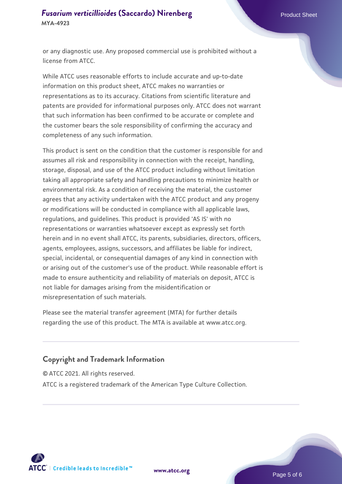or any diagnostic use. Any proposed commercial use is prohibited without a license from ATCC.

While ATCC uses reasonable efforts to include accurate and up-to-date information on this product sheet, ATCC makes no warranties or representations as to its accuracy. Citations from scientific literature and patents are provided for informational purposes only. ATCC does not warrant that such information has been confirmed to be accurate or complete and the customer bears the sole responsibility of confirming the accuracy and completeness of any such information.

This product is sent on the condition that the customer is responsible for and assumes all risk and responsibility in connection with the receipt, handling, storage, disposal, and use of the ATCC product including without limitation taking all appropriate safety and handling precautions to minimize health or environmental risk. As a condition of receiving the material, the customer agrees that any activity undertaken with the ATCC product and any progeny or modifications will be conducted in compliance with all applicable laws, regulations, and guidelines. This product is provided 'AS IS' with no representations or warranties whatsoever except as expressly set forth herein and in no event shall ATCC, its parents, subsidiaries, directors, officers, agents, employees, assigns, successors, and affiliates be liable for indirect, special, incidental, or consequential damages of any kind in connection with or arising out of the customer's use of the product. While reasonable effort is made to ensure authenticity and reliability of materials on deposit, ATCC is not liable for damages arising from the misidentification or misrepresentation of such materials.

Please see the material transfer agreement (MTA) for further details regarding the use of this product. The MTA is available at www.atcc.org.

## **Copyright and Trademark Information**

© ATCC 2021. All rights reserved.

ATCC is a registered trademark of the American Type Culture Collection.



**[www.atcc.org](http://www.atcc.org)**